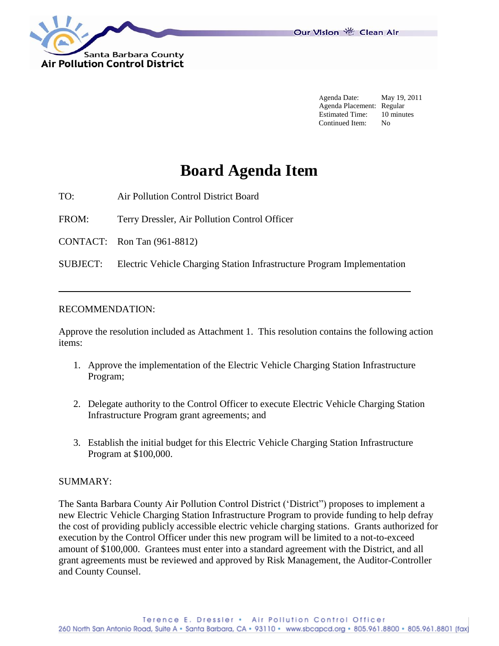

Our Vision 卷 Clean Air

Agenda Date: May 19, 2011 Agenda Placement: Regular Estimated Time: 10 minutes Continued Item: No

# **Board Agenda Item**

TO: Air Pollution Control District Board

FROM: Terry Dressler, Air Pollution Control Officer

CONTACT: Ron Tan (961-8812)

SUBJECT: Electric Vehicle Charging Station Infrastructure Program Implementation

#### RECOMMENDATION:

Approve the resolution included as Attachment 1. This resolution contains the following action items:

- 1. Approve the implementation of the Electric Vehicle Charging Station Infrastructure Program;
- 2. Delegate authority to the Control Officer to execute Electric Vehicle Charging Station Infrastructure Program grant agreements; and
- 3. Establish the initial budget for this Electric Vehicle Charging Station Infrastructure Program at \$100,000.

#### SUMMARY:

The Santa Barbara County Air Pollution Control District ("District") proposes to implement a new Electric Vehicle Charging Station Infrastructure Program to provide funding to help defray the cost of providing publicly accessible electric vehicle charging stations. Grants authorized for execution by the Control Officer under this new program will be limited to a not-to-exceed amount of \$100,000. Grantees must enter into a standard agreement with the District, and all grant agreements must be reviewed and approved by Risk Management, the Auditor-Controller and County Counsel.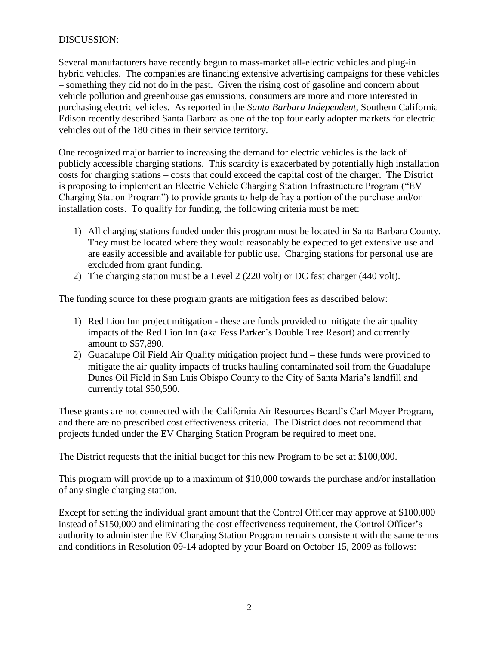## DISCUSSION:

Several manufacturers have recently begun to mass-market all-electric vehicles and plug-in hybrid vehicles. The companies are financing extensive advertising campaigns for these vehicles – something they did not do in the past. Given the rising cost of gasoline and concern about vehicle pollution and greenhouse gas emissions, consumers are more and more interested in purchasing electric vehicles. As reported in the *Santa Barbara Independent*, Southern California Edison recently described Santa Barbara as one of the top four early adopter markets for electric vehicles out of the 180 cities in their service territory.

One recognized major barrier to increasing the demand for electric vehicles is the lack of publicly accessible charging stations. This scarcity is exacerbated by potentially high installation costs for charging stations – costs that could exceed the capital cost of the charger. The District is proposing to implement an Electric Vehicle Charging Station Infrastructure Program ("EV Charging Station Program") to provide grants to help defray a portion of the purchase and/or installation costs. To qualify for funding, the following criteria must be met:

- 1) All charging stations funded under this program must be located in Santa Barbara County. They must be located where they would reasonably be expected to get extensive use and are easily accessible and available for public use. Charging stations for personal use are excluded from grant funding.
- 2) The charging station must be a Level 2 (220 volt) or DC fast charger (440 volt).

The funding source for these program grants are mitigation fees as described below:

- 1) Red Lion Inn project mitigation these are funds provided to mitigate the air quality impacts of the Red Lion Inn (aka Fess Parker"s Double Tree Resort) and currently amount to \$57,890.
- 2) Guadalupe Oil Field Air Quality mitigation project fund these funds were provided to mitigate the air quality impacts of trucks hauling contaminated soil from the Guadalupe Dunes Oil Field in San Luis Obispo County to the City of Santa Maria"s landfill and currently total \$50,590.

These grants are not connected with the California Air Resources Board"s Carl Moyer Program, and there are no prescribed cost effectiveness criteria. The District does not recommend that projects funded under the EV Charging Station Program be required to meet one.

The District requests that the initial budget for this new Program to be set at \$100,000.

This program will provide up to a maximum of \$10,000 towards the purchase and/or installation of any single charging station.

Except for setting the individual grant amount that the Control Officer may approve at \$100,000 instead of \$150,000 and eliminating the cost effectiveness requirement, the Control Officer's authority to administer the EV Charging Station Program remains consistent with the same terms and conditions in Resolution 09-14 adopted by your Board on October 15, 2009 as follows: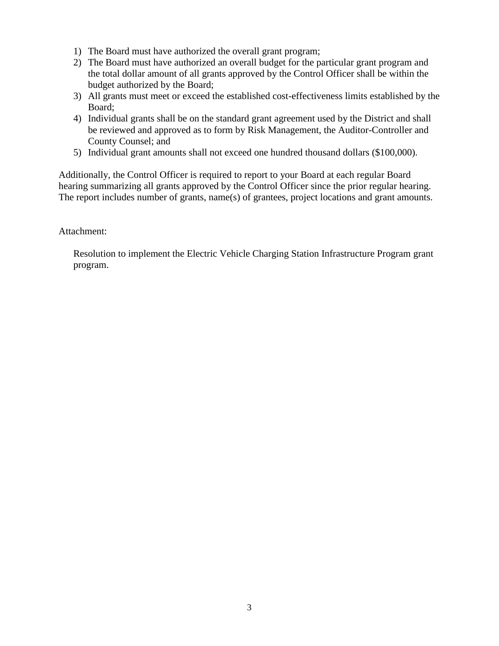- 1) The Board must have authorized the overall grant program;
- 2) The Board must have authorized an overall budget for the particular grant program and the total dollar amount of all grants approved by the Control Officer shall be within the budget authorized by the Board;
- 3) All grants must meet or exceed the established cost-effectiveness limits established by the Board;
- 4) Individual grants shall be on the standard grant agreement used by the District and shall be reviewed and approved as to form by Risk Management, the Auditor-Controller and County Counsel; and
- 5) Individual grant amounts shall not exceed one hundred thousand dollars (\$100,000).

Additionally, the Control Officer is required to report to your Board at each regular Board hearing summarizing all grants approved by the Control Officer since the prior regular hearing. The report includes number of grants, name(s) of grantees, project locations and grant amounts.

#### Attachment:

Resolution to implement the Electric Vehicle Charging Station Infrastructure Program grant program.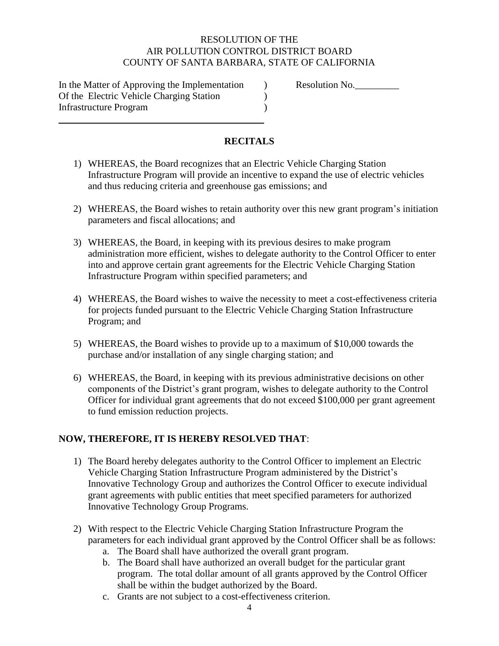### RESOLUTION OF THE AIR POLLUTION CONTROL DISTRICT BOARD COUNTY OF SANTA BARBARA, STATE OF CALIFORNIA

In the Matter of Approving the Implementation  $\qquad$  ) Resolution No. Of the Electric Vehicle Charging Station ) Infrastructure Program )

# **RECITALS**

- 1) WHEREAS, the Board recognizes that an Electric Vehicle Charging Station Infrastructure Program will provide an incentive to expand the use of electric vehicles and thus reducing criteria and greenhouse gas emissions; and
- 2) WHEREAS, the Board wishes to retain authority over this new grant program"s initiation parameters and fiscal allocations; and
- 3) WHEREAS, the Board, in keeping with its previous desires to make program administration more efficient, wishes to delegate authority to the Control Officer to enter into and approve certain grant agreements for the Electric Vehicle Charging Station Infrastructure Program within specified parameters; and
- 4) WHEREAS, the Board wishes to waive the necessity to meet a cost-effectiveness criteria for projects funded pursuant to the Electric Vehicle Charging Station Infrastructure Program; and
- 5) WHEREAS, the Board wishes to provide up to a maximum of \$10,000 towards the purchase and/or installation of any single charging station; and
- 6) WHEREAS, the Board, in keeping with its previous administrative decisions on other components of the District"s grant program, wishes to delegate authority to the Control Officer for individual grant agreements that do not exceed \$100,000 per grant agreement to fund emission reduction projects.

# **NOW, THEREFORE, IT IS HEREBY RESOLVED THAT**:

- 1) The Board hereby delegates authority to the Control Officer to implement an Electric Vehicle Charging Station Infrastructure Program administered by the District"s Innovative Technology Group and authorizes the Control Officer to execute individual grant agreements with public entities that meet specified parameters for authorized Innovative Technology Group Programs.
- 2) With respect to the Electric Vehicle Charging Station Infrastructure Program the parameters for each individual grant approved by the Control Officer shall be as follows:
	- a. The Board shall have authorized the overall grant program.
	- b. The Board shall have authorized an overall budget for the particular grant program. The total dollar amount of all grants approved by the Control Officer shall be within the budget authorized by the Board.
	- c. Grants are not subject to a cost-effectiveness criterion.